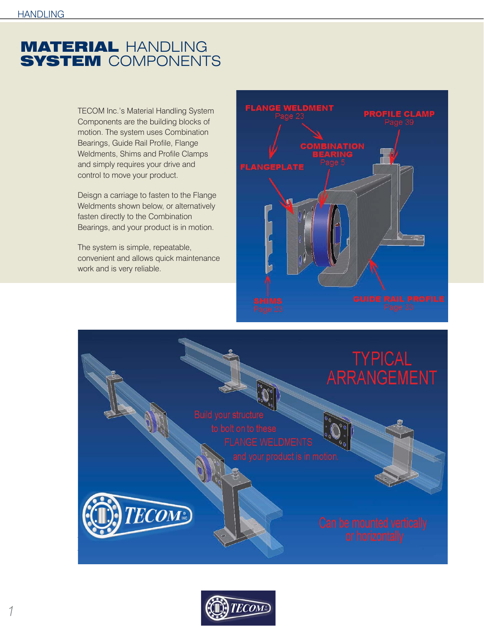## MATERIAL HANDLING **SYSTEM COMPONENTS**

TECOM Inc.'s Material Handling System Components are the building blocks of motion. The system uses Combination Bearings, Guide Rail Profile, Flange Weldments, Shims and Profile Clamps and simply requires your drive and control to move your product.

Deisgn a carriage to fasten to the Flange Weldments shown below, or alternatively fasten directly to the Combination Bearings, and your product is in motion.

The system is simple, repeatable, convenient and allows quick maintenance work and is very reliable.